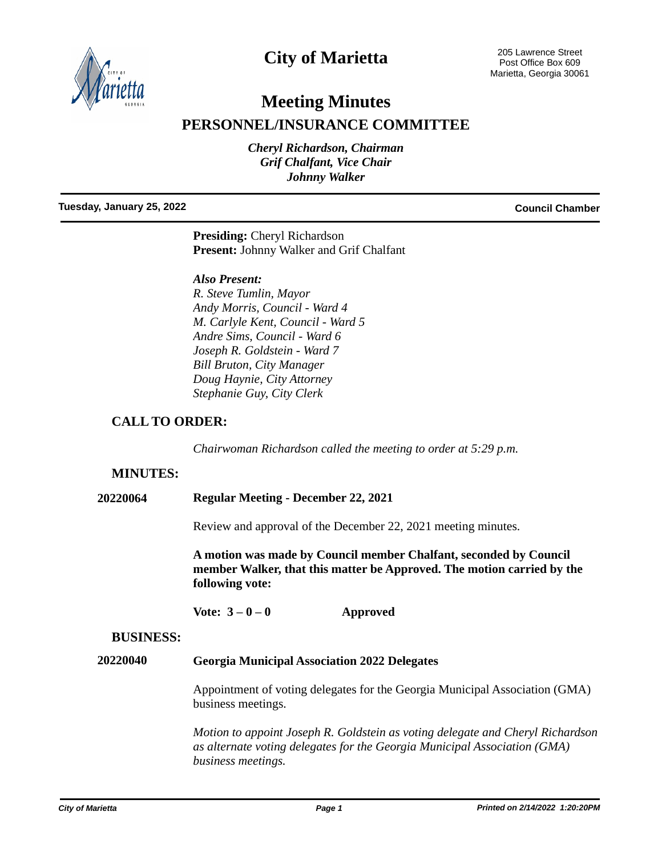

## **City of Marietta**

# **Meeting Minutes**

**PERSONNEL/INSURANCE COMMITTEE**

*Cheryl Richardson, Chairman Grif Chalfant, Vice Chair Johnny Walker*

#### **Tuesday, January 25, 2022 Council Chamber**

**Presiding:** Cheryl Richardson **Present:** Johnny Walker and Grif Chalfant

## *Also Present:*

*R. Steve Tumlin, Mayor Andy Morris, Council - Ward 4 M. Carlyle Kent, Council - Ward 5 Andre Sims, Council - Ward 6 Joseph R. Goldstein - Ward 7 Bill Bruton, City Manager Doug Haynie, City Attorney Stephanie Guy, City Clerk*

## **CALL TO ORDER:**

*Chairwoman Richardson called the meeting to order at 5:29 p.m.*

## **MINUTES:**

**20220064 Regular Meeting - December 22, 2021**

Review and approval of the December 22, 2021 meeting minutes.

**A motion was made by Council member Chalfant, seconded by Council member Walker, that this matter be Approved. The motion carried by the following vote:**

**Vote: 3 – 0 – 0 Approved**

### **BUSINESS:**

### **20220040 Georgia Municipal Association 2022 Delegates**

Appointment of voting delegates for the Georgia Municipal Association (GMA) business meetings.

*Motion to appoint Joseph R. Goldstein as voting delegate and Cheryl Richardson as alternate voting delegates for the Georgia Municipal Association (GMA) business meetings.*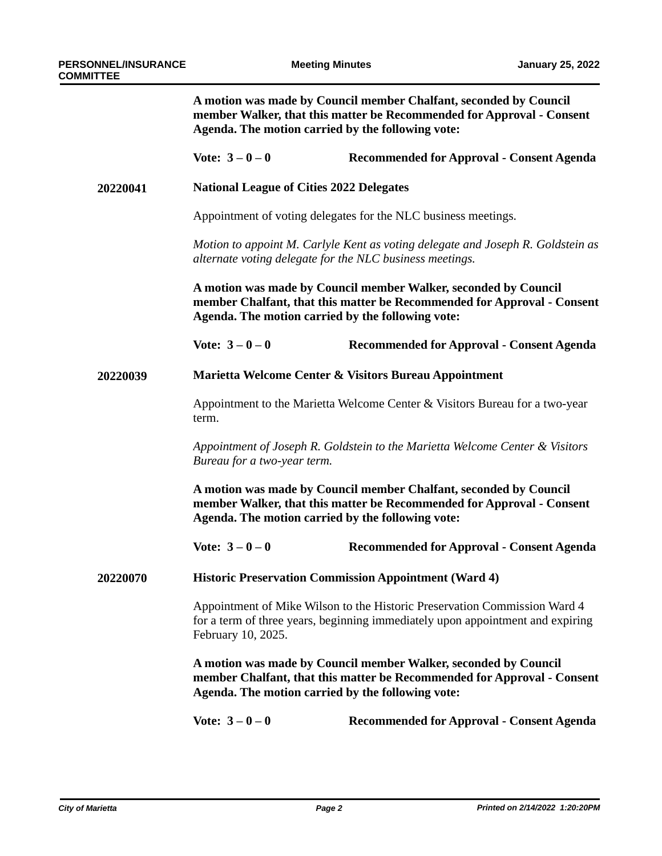|          | A motion was made by Council member Chalfant, seconded by Council<br>member Walker, that this matter be Recommended for Approval - Consent<br>Agenda. The motion carried by the following vote: |                                                  |  |
|----------|-------------------------------------------------------------------------------------------------------------------------------------------------------------------------------------------------|--------------------------------------------------|--|
|          | Vote: $3 - 0 - 0$                                                                                                                                                                               | <b>Recommended for Approval - Consent Agenda</b> |  |
| 20220041 | <b>National League of Cities 2022 Delegates</b>                                                                                                                                                 |                                                  |  |
|          | Appointment of voting delegates for the NLC business meetings.                                                                                                                                  |                                                  |  |
|          | Motion to appoint M. Carlyle Kent as voting delegate and Joseph R. Goldstein as<br>alternate voting delegate for the NLC business meetings.                                                     |                                                  |  |
|          | A motion was made by Council member Walker, seconded by Council<br>member Chalfant, that this matter be Recommended for Approval - Consent<br>Agenda. The motion carried by the following vote: |                                                  |  |
|          | Vote: $3 - 0 - 0$                                                                                                                                                                               | <b>Recommended for Approval - Consent Agenda</b> |  |
| 20220039 | Marietta Welcome Center & Visitors Bureau Appointment                                                                                                                                           |                                                  |  |
|          | Appointment to the Marietta Welcome Center & Visitors Bureau for a two-year<br>term.                                                                                                            |                                                  |  |
|          | Appointment of Joseph R. Goldstein to the Marietta Welcome Center & Visitors<br>Bureau for a two-year term.                                                                                     |                                                  |  |
|          | A motion was made by Council member Chalfant, seconded by Council<br>member Walker, that this matter be Recommended for Approval - Consent<br>Agenda. The motion carried by the following vote: |                                                  |  |
|          | Vote: $3 - 0 - 0$                                                                                                                                                                               | Recommended for Approval - Consent Agenda        |  |
| 20220070 | <b>Historic Preservation Commission Appointment (Ward 4)</b>                                                                                                                                    |                                                  |  |
|          | Appointment of Mike Wilson to the Historic Preservation Commission Ward 4<br>for a term of three years, beginning immediately upon appointment and expiring<br>February 10, 2025.               |                                                  |  |
|          | A motion was made by Council member Walker, seconded by Council<br>member Chalfant, that this matter be Recommended for Approval - Consent<br>Agenda. The motion carried by the following vote: |                                                  |  |
|          | Vote: $3 - 0 - 0$                                                                                                                                                                               | <b>Recommended for Approval - Consent Agenda</b> |  |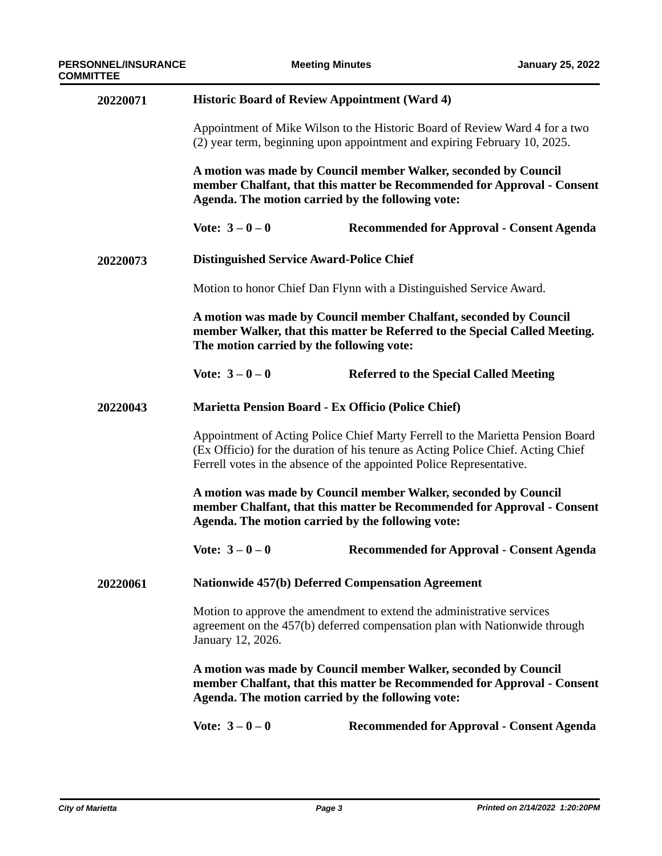| 20220071 | <b>Historic Board of Review Appointment (Ward 4)</b>                                                                                                                                                                                       |                                                  |  |
|----------|--------------------------------------------------------------------------------------------------------------------------------------------------------------------------------------------------------------------------------------------|--------------------------------------------------|--|
|          | Appointment of Mike Wilson to the Historic Board of Review Ward 4 for a two<br>(2) year term, beginning upon appointment and expiring February 10, 2025.                                                                                   |                                                  |  |
|          | A motion was made by Council member Walker, seconded by Council<br>member Chalfant, that this matter be Recommended for Approval - Consent<br>Agenda. The motion carried by the following vote:                                            |                                                  |  |
|          | Vote: $3 - 0 - 0$                                                                                                                                                                                                                          | <b>Recommended for Approval - Consent Agenda</b> |  |
| 20220073 | <b>Distinguished Service Award-Police Chief</b>                                                                                                                                                                                            |                                                  |  |
|          | Motion to honor Chief Dan Flynn with a Distinguished Service Award.                                                                                                                                                                        |                                                  |  |
|          | A motion was made by Council member Chalfant, seconded by Council<br>member Walker, that this matter be Referred to the Special Called Meeting.<br>The motion carried by the following vote:                                               |                                                  |  |
|          | Vote: $3 - 0 - 0$                                                                                                                                                                                                                          | <b>Referred to the Special Called Meeting</b>    |  |
| 20220043 | Marietta Pension Board - Ex Officio (Police Chief)                                                                                                                                                                                         |                                                  |  |
|          | Appointment of Acting Police Chief Marty Ferrell to the Marietta Pension Board<br>(Ex Officio) for the duration of his tenure as Acting Police Chief. Acting Chief<br>Ferrell votes in the absence of the appointed Police Representative. |                                                  |  |
|          | A motion was made by Council member Walker, seconded by Council<br>member Chalfant, that this matter be Recommended for Approval - Consent<br>Agenda. The motion carried by the following vote:                                            |                                                  |  |
|          | Vote: $3 - 0 - 0$                                                                                                                                                                                                                          | <b>Recommended for Approval - Consent Agenda</b> |  |
| 20220061 | <b>Nationwide 457(b) Deferred Compensation Agreement</b>                                                                                                                                                                                   |                                                  |  |
|          | Motion to approve the amendment to extend the administrative services<br>agreement on the 457(b) deferred compensation plan with Nationwide through<br>January 12, 2026.                                                                   |                                                  |  |
|          | A motion was made by Council member Walker, seconded by Council<br>member Chalfant, that this matter be Recommended for Approval - Consent<br>Agenda. The motion carried by the following vote:                                            |                                                  |  |
|          | Vote: $3 - 0 - 0$                                                                                                                                                                                                                          | <b>Recommended for Approval - Consent Agenda</b> |  |